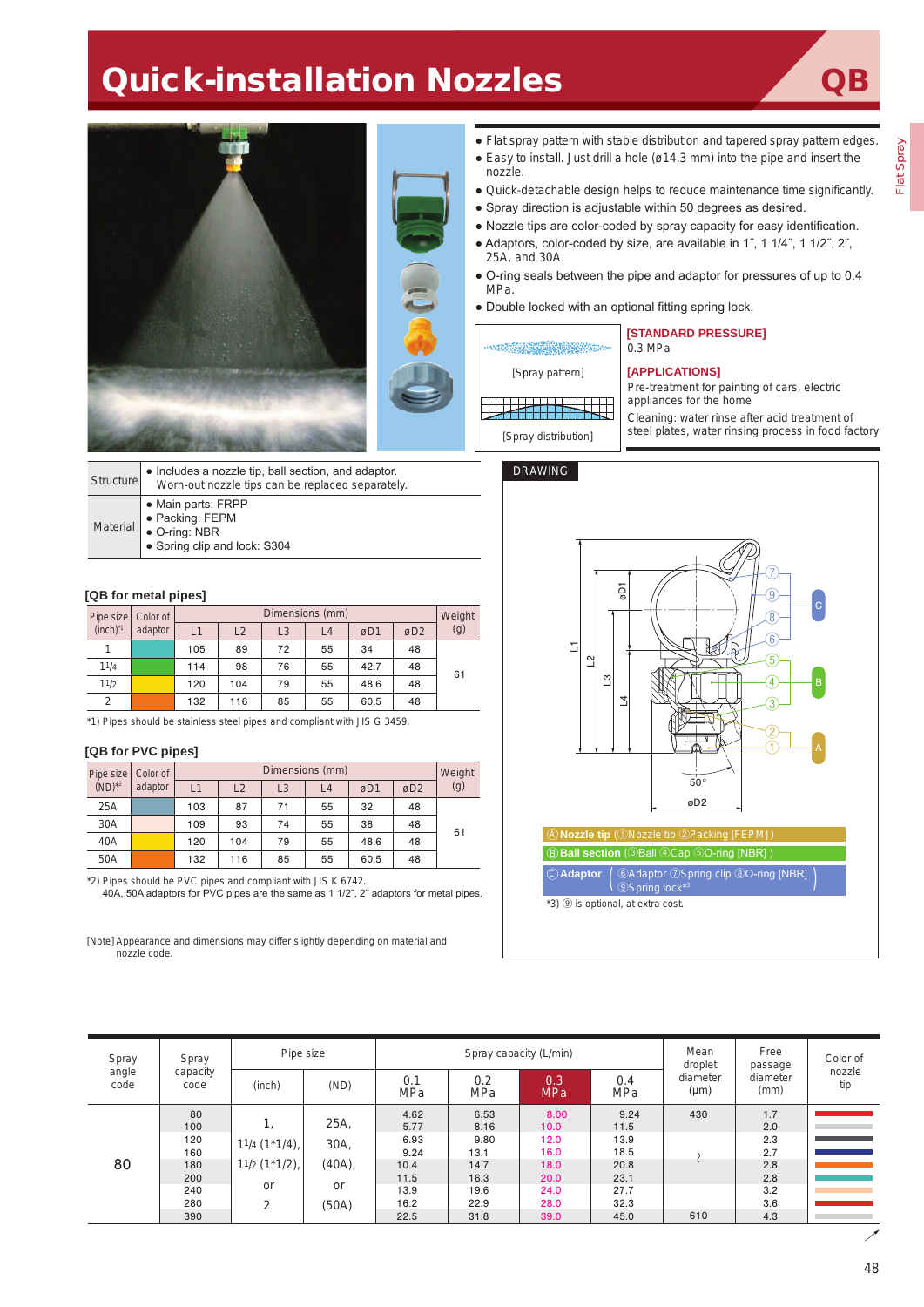# **Quick-installation Nozzles**

Flat Spray



| Structure       | • Includes a nozzle tip, ball section, and adaptor.<br>Worn-out nozzle tips can be replaced separately. |
|-----------------|---------------------------------------------------------------------------------------------------------|
| <b>Material</b> | • Main parts: FRPP<br>· Packing: FEPM<br>O-ring: NBR<br>• Spring clip and lock: S304                    |

#### **[QB for metal pipes]**

| Pipe size<br>(inch) <sup>1</sup> |      | Color of<br>adaptor | Dimensions (mm) |     |                |    |      |                 |     |  |
|----------------------------------|------|---------------------|-----------------|-----|----------------|----|------|-----------------|-----|--|
|                                  |      |                     | L1              | L2  | L <sub>3</sub> | L4 | øD1  | øD <sub>2</sub> | (g) |  |
|                                  | 1    |                     | 105             | 89  | 72             | 55 | 34   | 48              |     |  |
|                                  | 11/4 |                     | 114             | 98  | 76             | 55 | 42.7 | 48              | 61  |  |
|                                  | 11/2 |                     | 120             | 104 | 79             | 55 | 48.6 | 48              |     |  |
|                                  | 2    |                     | 132             | 116 | 85             | 55 | 60.5 | 48              |     |  |

\*1) Pipes should be stainless steel pipes and compliant with JIS G 3459.

### **[QB for PVC pipes]**

|             | Pipe size   Color of<br>adaptor | Dimensions (mm) |     |    |                |      |                 |     |  |
|-------------|---------------------------------|-----------------|-----|----|----------------|------|-----------------|-----|--|
| $(ND)^{*2}$ |                                 | L1              | L2  | L3 | L <sub>4</sub> | øD1  | øD <sub>2</sub> | (g) |  |
| 25A         |                                 | 103             | 87  | 71 | 55             | 32   | 48              |     |  |
| 30A         |                                 | 109             | 93  | 74 | 55             | 38   | 48              | 61  |  |
| 40A         |                                 | 120             | 104 | 79 | 55             | 48.6 | 48              |     |  |
| 50A         |                                 | 132             | 116 | 85 | 55             | 60.5 | 48              |     |  |

\*2) Pipes should be PVC pipes and compliant with JIS K 6742.

40A, 50A adaptors for PVC pipes are the same as 1 1/2˝, 2˝ adaptors for metal pipes.

[Note] Appearance and dimensions may differ slightly depending on material and nozzle code.

#### DRAWING



| Spray         | Spray<br>capacity<br>code | Pipe size       |        | Spray capacity (L/min) |                   |                   |            | Mean<br>droplet       | Free<br>passage  | Color of      |
|---------------|---------------------------|-----------------|--------|------------------------|-------------------|-------------------|------------|-----------------------|------------------|---------------|
| angle<br>code |                           | (inch)          | (ND)   | 0.1<br>MPa             | 0.2<br><b>MPa</b> | 0.3<br><b>MPa</b> | 0.4<br>MPa | diameter<br>$(\mu m)$ | diameter<br>(mm) | nozzle<br>tip |
|               | 80                        |                 |        | 4.62                   | 6.53              | 8.00              | 9.24       | 430                   | 1.7              |               |
|               | 100<br>120<br>160         | 25A,<br>1.      |        | 5.77                   | 8.16              | 10.0              | 11.5       |                       | 2.0              |               |
|               |                           |                 |        | 6.93                   | 9.80              | 12.0              | 13.9       |                       | 2.3              |               |
|               |                           | $11/4$ (1*1/4), | 30A,   | 9.24                   | 13.1              | 16.0              | 18.5       |                       | 2.7              |               |
| 80            | 180                       | $11/2$ (1*1/2), | (40A), | 10.4                   | 14.7              | 18.0              | 20.8       |                       | 2.8              |               |
|               | 200                       |                 |        | 11.5                   | 16.3              | 20.0              | 23.1       |                       | 2.8              |               |
|               | 240                       | or              | or     | 13.9                   | 19.6              | 24.0              | 27.7       |                       | 3.2              |               |
|               | 280<br>390                | 2               | (50A)  | 16.2                   | 22.9              | 28.0              | 32.3       |                       | 3.6              |               |
|               |                           |                 |        | 22.5                   | 31.8              | 39.0              | 45.0       | 610                   | 4.3              |               |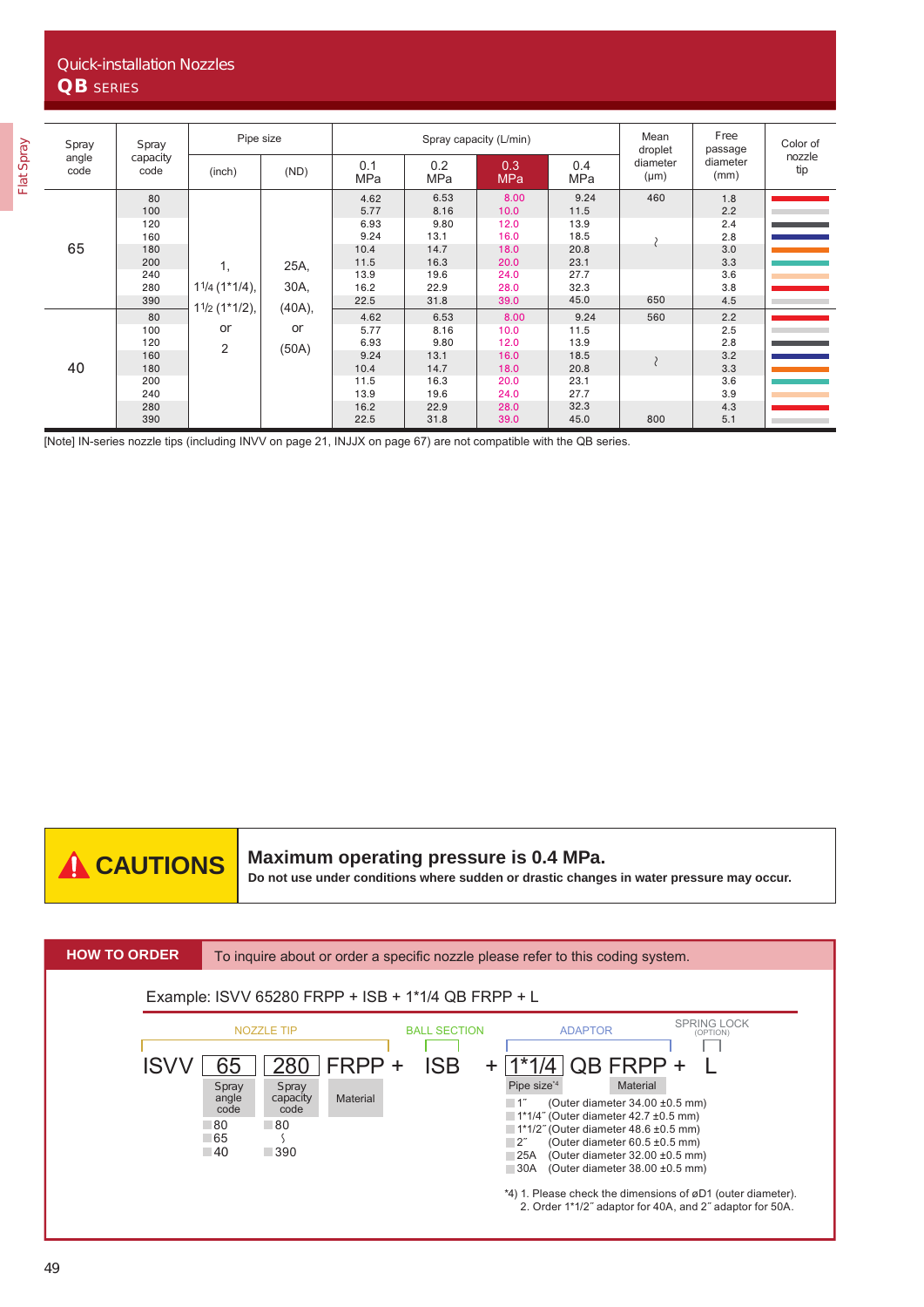| Spray         | Spray<br>capacity<br>code                                         | Pipe size                  |                          | Spray capacity (L/min)                                                       |                                                                              |                                                                              |                                                                              | Mean<br>droplet       | Free<br>passage                                                    | Color of      |
|---------------|-------------------------------------------------------------------|----------------------------|--------------------------|------------------------------------------------------------------------------|------------------------------------------------------------------------------|------------------------------------------------------------------------------|------------------------------------------------------------------------------|-----------------------|--------------------------------------------------------------------|---------------|
| angle<br>code |                                                                   | (inch)                     | (ND)                     | 0.1<br><b>MPa</b>                                                            | 0.2<br><b>MPa</b>                                                            | 0.3<br><b>MPa</b>                                                            | 0.4<br>MPa                                                                   | diameter<br>$(\mu m)$ | diameter<br>(mm)                                                   | nozzle<br>tip |
| 65            | 80<br>100<br>120<br>160<br>180<br>200<br>240<br>280               | 1,<br>$11/4$ (1*1/4),      | 25A,<br>30A,             | 4.62<br>5.77<br>6.93<br>9.24<br>10.4<br>11.5<br>13.9<br>16.2                 | 6.53<br>8.16<br>9.80<br>13.1<br>14.7<br>16.3<br>19.6<br>22.9                 | 8.00<br>10.0<br>12.0<br>16.0<br>18.0<br>20.0<br>24.0<br>28.0                 | 9.24<br>11.5<br>13.9<br>18.5<br>20.8<br>23.1<br>27.7<br>32.3                 | 460                   | 1.8<br>2.2<br>2.4<br>2.8<br>3.0<br>3.3<br>3.6<br>3.8               |               |
| 40            | 390<br>80<br>100<br>120<br>160<br>180<br>200<br>240<br>280<br>390 | $11/2$ (1*1/2),<br>or<br>2 | $(40A)$ ,<br>or<br>(50A) | 22.5<br>4.62<br>5.77<br>6.93<br>9.24<br>10.4<br>11.5<br>13.9<br>16.2<br>22.5 | 31.8<br>6.53<br>8.16<br>9.80<br>13.1<br>14.7<br>16.3<br>19.6<br>22.9<br>31.8 | 39.0<br>8.00<br>10.0<br>12.0<br>16.0<br>18.0<br>20.0<br>24.0<br>28.0<br>39.0 | 45.0<br>9.24<br>11.5<br>13.9<br>18.5<br>20.8<br>23.1<br>27.7<br>32.3<br>45.0 | 650<br>560<br>800     | 4.5<br>2.2<br>2.5<br>2.8<br>3.2<br>3.3<br>3.6<br>3.9<br>4.3<br>5.1 |               |

[Note] IN-series nozzle tips (including INVV on page 21, INJJX on page 67) are not compatible with the QB series.

**Maximum operating pressure is 0.4 MPa.**

**CAUTIONS** Maximum operating pressure is 0.4 MPa.<br>Do not use under conditions where sudden or drastic changes in water pressure may occur.